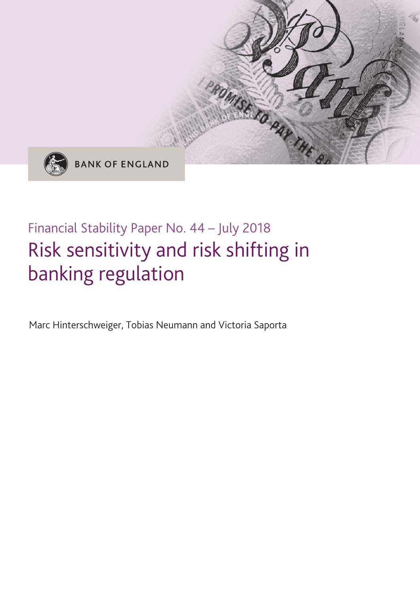

**BANK OF ENGLAND** 

# Financial Stability Paper No. 44 – July 2018 Risk sensitivity and risk shifting in banking regulation

ROMISETO PAY THE

Marc Hinterschweiger, Tobias Neumann and Victoria Saporta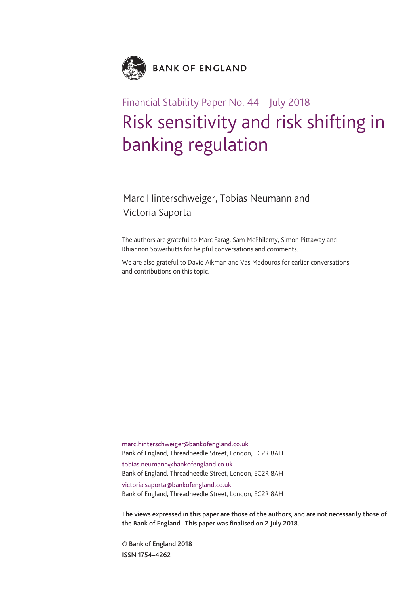

## Financial Stability Paper No. 44 – July 2018 Risk sensitivity and risk shifting in banking regulation

## Marc Hinterschweiger, Tobias Neumann and Victoria Saporta

The authors are grateful to Marc Farag, Sam McPhilemy, Simon Pittaway and Rhiannon Sowerbutts for helpful conversations and comments.

We are also grateful to David Aikman and Vas Madouros for earlier conversations and contributions on this topic.

marc.hinterschweiger@bankofengland.co.uk Bank of England, Threadneedle Street, London, EC2R 8AH tobias.neumann@bankofengland.co.uk Bank of England, Threadneedle Street, London, EC2R 8AH victoria.saporta@bankofengland.co.uk Bank of England, Threadneedle Street, London, EC2R 8AH

**The views expressed in this paper are those of the authors, and are not necessarily those of the Bank of England. This paper was finalised on 2 July 2018.**

**© Bank of England 2018 ISSN 1754–4262**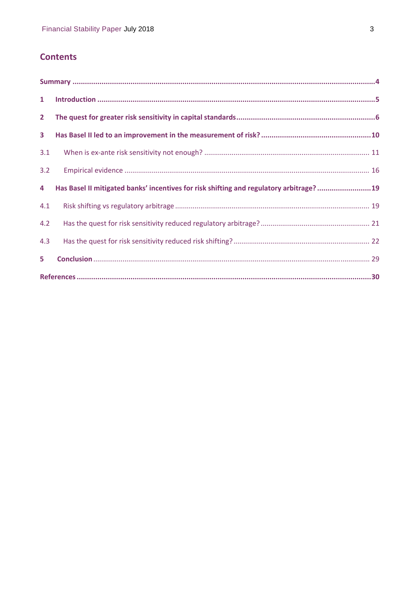## **Contents**

| $\mathbf{1}$   |                                                                                        |  |  |  |  |  |  |
|----------------|----------------------------------------------------------------------------------------|--|--|--|--|--|--|
| $\mathbf{2}$   |                                                                                        |  |  |  |  |  |  |
| 3 <sup>1</sup> |                                                                                        |  |  |  |  |  |  |
| 3.1            |                                                                                        |  |  |  |  |  |  |
| 3.2            |                                                                                        |  |  |  |  |  |  |
| 4              | Has Basel II mitigated banks' incentives for risk shifting and regulatory arbitrage?19 |  |  |  |  |  |  |
| 4.1            |                                                                                        |  |  |  |  |  |  |
| 4.2            |                                                                                        |  |  |  |  |  |  |
| 4.3            |                                                                                        |  |  |  |  |  |  |
| 5.             |                                                                                        |  |  |  |  |  |  |
|                |                                                                                        |  |  |  |  |  |  |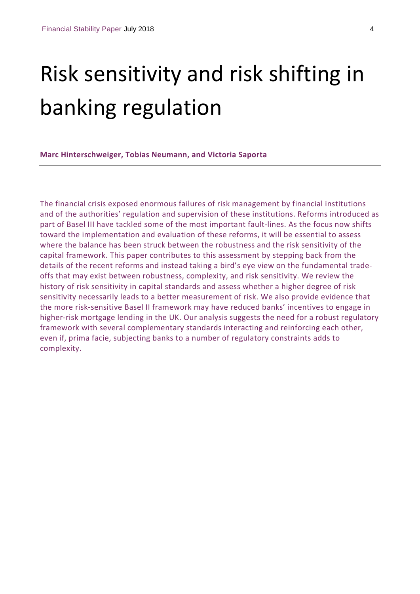# Risk sensitivity and risk shifting in banking regulation

**Marc Hinterschweiger, Tobias Neumann, and Victoria Saporta**

The financial crisis exposed enormous failures of risk management by financial institutions and of the authorities' regulation and supervision of these institutions. Reforms introduced as part of Basel III have tackled some of the most important fault-lines. As the focus now shifts toward the implementation and evaluation of these reforms, it will be essential to assess where the balance has been struck between the robustness and the risk sensitivity of the capital framework. This paper contributes to this assessment by stepping back from the details of the recent reforms and instead taking a bird's eye view on the fundamental trade‐ offs that may exist between robustness, complexity, and risk sensitivity. We review the history of risk sensitivity in capital standards and assess whether a higher degree of risk sensitivity necessarily leads to a better measurement of risk. We also provide evidence that the more risk‐sensitive Basel II framework may have reduced banks' incentives to engage in higher-risk mortgage lending in the UK. Our analysis suggests the need for a robust regulatory framework with several complementary standards interacting and reinforcing each other, even if, prima facie, subjecting banks to a number of regulatory constraints adds to complexity.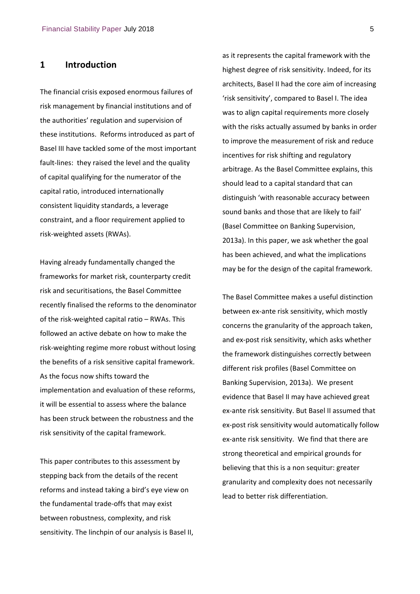## **1 Introduction**

The financial crisis exposed enormous failures of risk management by financial institutions and of the authorities' regulation and supervision of these institutions. Reforms introduced as part of Basel III have tackled some of the most important fault-lines: they raised the level and the quality of capital qualifying for the numerator of the capital ratio, introduced internationally consistent liquidity standards, a leverage constraint, and a floor requirement applied to risk‐weighted assets (RWAs).

Having already fundamentally changed the frameworks for market risk, counterparty credit risk and securitisations, the Basel Committee recently finalised the reforms to the denominator of the risk‐weighted capital ratio – RWAs. This followed an active debate on how to make the risk‐weighting regime more robust without losing the benefits of a risk sensitive capital framework. As the focus now shifts toward the implementation and evaluation of these reforms, it will be essential to assess where the balance has been struck between the robustness and the risk sensitivity of the capital framework.

This paper contributes to this assessment by stepping back from the details of the recent reforms and instead taking a bird's eye view on the fundamental trade‐offs that may exist between robustness, complexity, and risk sensitivity. The linchpin of our analysis is Basel II, as it represents the capital framework with the highest degree of risk sensitivity. Indeed, for its architects, Basel II had the core aim of increasing 'risk sensitivity', compared to Basel I. The idea was to align capital requirements more closely with the risks actually assumed by banks in order to improve the measurement of risk and reduce incentives for risk shifting and regulatory arbitrage. As the Basel Committee explains, this should lead to a capital standard that can distinguish 'with reasonable accuracy between sound banks and those that are likely to fail' (Basel Committee on Banking Supervision, 2013a). In this paper, we ask whether the goal has been achieved, and what the implications may be for the design of the capital framework.

The Basel Committee makes a useful distinction between ex‐ante risk sensitivity, which mostly concerns the granularity of the approach taken, and ex‐post risk sensitivity, which asks whether the framework distinguishes correctly between different risk profiles (Basel Committee on Banking Supervision, 2013a). We present evidence that Basel II may have achieved great ex‐ante risk sensitivity. But Basel II assumed that ex‐post risk sensitivity would automatically follow ex‐ante risk sensitivity. We find that there are strong theoretical and empirical grounds for believing that this is a non sequitur: greater granularity and complexity does not necessarily lead to better risk differentiation.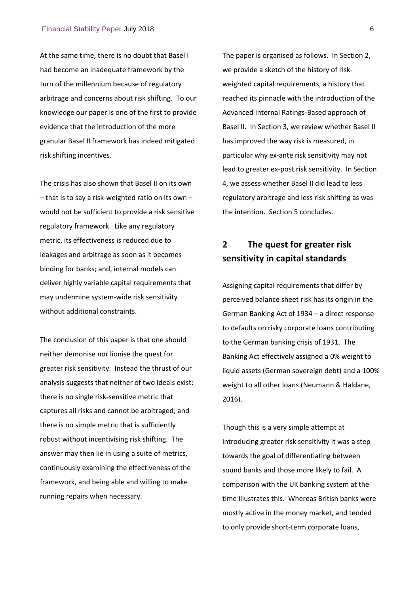At the same time, there is no doubt that Basel I had become an inadequate framework by the turn of the millennium because of regulatory arbitrage and concerns about risk shifting. To our knowledge our paper is one of the first to provide evidence that the introduction of the more granular Basel II framework has indeed mitigated risk shifting incentives.

The crisis has also shown that Basel II on its own – that is to say a risk‐weighted ratio on its own – would not be sufficient to provide a risk sensitive regulatory framework. Like any regulatory metric, its effectiveness is reduced due to leakages and arbitrage as soon as it becomes binding for banks; and, internal models can deliver highly variable capital requirements that may undermine system‐wide risk sensitivity without additional constraints.

The conclusion of this paper is that one should neither demonise nor lionise the quest for greater risk sensitivity. Instead the thrust of our analysis suggests that neither of two ideals exist: there is no single risk‐sensitive metric that captures all risks and cannot be arbitraged; and there is no simple metric that is sufficiently robust without incentivising risk shifting. The answer may then lie in using a suite of metrics, continuously examining the effectiveness of the framework, and being able and willing to make running repairs when necessary.

The paper is organised as follows. In Section 2, we provide a sketch of the history of riskweighted capital requirements, a history that reached its pinnacle with the introduction of the Advanced Internal Ratings‐Based approach of Basel II. In Section 3, we review whether Basel II has improved the way risk is measured, in particular why ex‐ante risk sensitivity may not lead to greater ex‐post risk sensitivity. In Section 4, we assess whether Basel II did lead to less regulatory arbitrage and less risk shifting as was the intention. Section 5 concludes.

## **2 The quest for greater risk sensitivity in capital standards**

Assigning capital requirements that differ by perceived balance sheet risk has its origin in the German Banking Act of 1934 – a direct response to defaults on risky corporate loans contributing to the German banking crisis of 1931. The Banking Act effectively assigned a 0% weight to liquid assets (German sovereign debt) and a 100% weight to all other loans (Neumann & Haldane, 2016).

Though this is a very simple attempt at introducing greater risk sensitivity it was a step towards the goal of differentiating between sound banks and those more likely to fail. A comparison with the UK banking system at the time illustrates this. Whereas British banks were mostly active in the money market, and tended to only provide short‐term corporate loans,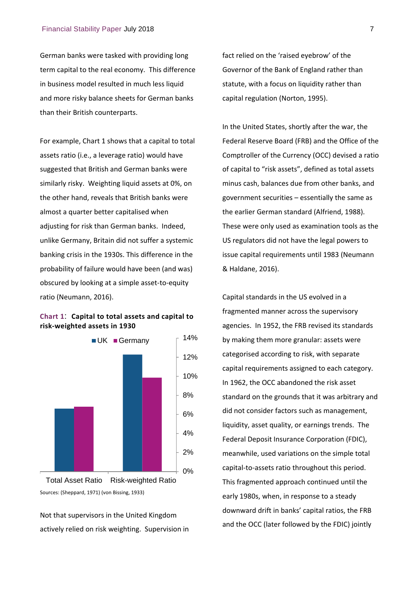German banks were tasked with providing long term capital to the real economy. This difference in business model resulted in much less liquid and more risky balance sheets for German banks than their British counterparts.

For example, Chart 1 shows that a capital to total assets ratio (i.e., a leverage ratio) would have suggested that British and German banks were similarly risky. Weighting liquid assets at 0%, on the other hand, reveals that British banks were almost a quarter better capitalised when adjusting for risk than German banks. Indeed, unlike Germany, Britain did not suffer a systemic banking crisis in the 1930s. This difference in the probability of failure would have been (and was) obscured by looking at a simple asset‐to‐equity ratio (Neumann, 2016).

#### **Chart 1**: **Capital to total assets and capital to risk‐weighted assets in 1930**



Sources: (Sheppard, 1971) (von Bissing, 1933)

Not that supervisors in the United Kingdom actively relied on risk weighting. Supervision in fact relied on the 'raised eyebrow' of the Governor of the Bank of England rather than statute, with a focus on liquidity rather than capital regulation (Norton, 1995).

In the United States, shortly after the war, the Federal Reserve Board (FRB) and the Office of the Comptroller of the Currency (OCC) devised a ratio of capital to "risk assets", defined as total assets minus cash, balances due from other banks, and government securities – essentially the same as the earlier German standard (Alfriend, 1988). These were only used as examination tools as the US regulators did not have the legal powers to issue capital requirements until 1983 (Neumann & Haldane, 2016).

Capital standards in the US evolved in a fragmented manner across the supervisory agencies. In 1952, the FRB revised its standards by making them more granular: assets were categorised according to risk, with separate capital requirements assigned to each category. In 1962, the OCC abandoned the risk asset standard on the grounds that it was arbitrary and did not consider factors such as management, liquidity, asset quality, or earnings trends. The Federal Deposit Insurance Corporation (FDIC), meanwhile, used variations on the simple total capital‐to‐assets ratio throughout this period. This fragmented approach continued until the early 1980s, when, in response to a steady downward drift in banks' capital ratios, the FRB and the OCC (later followed by the FDIC) jointly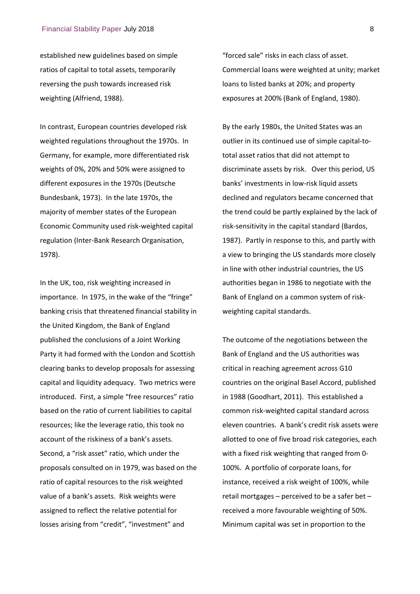established new guidelines based on simple ratios of capital to total assets, temporarily reversing the push towards increased risk weighting (Alfriend, 1988).

In contrast, European countries developed risk weighted regulations throughout the 1970s. In Germany, for example, more differentiated risk weights of 0%, 20% and 50% were assigned to different exposures in the 1970s (Deutsche Bundesbank, 1973). In the late 1970s, the majority of member states of the European Economic Community used risk‐weighted capital regulation (Inter‐Bank Research Organisation, 1978).

In the UK, too, risk weighting increased in importance. In 1975, in the wake of the "fringe" banking crisis that threatened financial stability in the United Kingdom, the Bank of England published the conclusions of a Joint Working Party it had formed with the London and Scottish clearing banks to develop proposals for assessing capital and liquidity adequacy. Two metrics were introduced. First, a simple "free resources" ratio based on the ratio of current liabilities to capital resources; like the leverage ratio, this took no account of the riskiness of a bank's assets. Second, a "risk asset" ratio, which under the proposals consulted on in 1979, was based on the ratio of capital resources to the risk weighted value of a bank's assets. Risk weights were assigned to reflect the relative potential for losses arising from "credit", "investment" and

"forced sale" risks in each class of asset. Commercial loans were weighted at unity; market loans to listed banks at 20%; and property exposures at 200% (Bank of England, 1980).

By the early 1980s, the United States was an outlier in its continued use of simple capital‐to‐ total asset ratios that did not attempt to discriminate assets by risk. Over this period, US banks' investments in low‐risk liquid assets declined and regulators became concerned that the trend could be partly explained by the lack of risk‐sensitivity in the capital standard (Bardos, 1987). Partly in response to this, and partly with a view to bringing the US standards more closely in line with other industrial countries, the US authorities began in 1986 to negotiate with the Bank of England on a common system of risk‐ weighting capital standards.

The outcome of the negotiations between the Bank of England and the US authorities was critical in reaching agreement across G10 countries on the original Basel Accord, published in 1988 (Goodhart, 2011). This established a common risk‐weighted capital standard across eleven countries. A bank's credit risk assets were allotted to one of five broad risk categories, each with a fixed risk weighting that ranged from 0‐ 100%. A portfolio of corporate loans, for instance, received a risk weight of 100%, while retail mortgages – perceived to be a safer bet – received a more favourable weighting of 50%. Minimum capital was set in proportion to the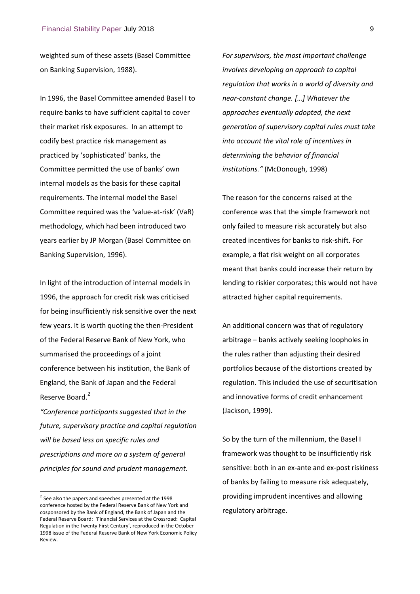weighted sum of these assets (Basel Committee on Banking Supervision, 1988).

In 1996, the Basel Committee amended Basel I to require banks to have sufficient capital to cover their market risk exposures. In an attempt to codify best practice risk management as practiced by 'sophisticated' banks, the Committee permitted the use of banks' own internal models as the basis for these capital requirements. The internal model the Basel Committee required was the 'value‐at‐risk' (VaR) methodology, which had been introduced two years earlier by JP Morgan (Basel Committee on Banking Supervision, 1996).

In light of the introduction of internal models in 1996, the approach for credit risk was criticised for being insufficiently risk sensitive over the next few years. It is worth quoting the then‐President of the Federal Reserve Bank of New York, who summarised the proceedings of a joint conference between his institution, the Bank of England, the Bank of Japan and the Federal Reserve Board.<sup>2</sup>

*"Conference participants suggested that in the future, supervisory practice and capital regulation will be based less on specific rules and prescriptions and more on a system of general principles for sound and prudent management.*

l

*For supervisors, the most important challenge involves developing an approach to capital regulation that works in a world of diversity and near‐constant change. […] Whatever the approaches eventually adopted, the next generation of supervisory capital rules must take into account the vital role of incentives in determining the behavior of financial institutions."* (McDonough, 1998)

The reason for the concerns raised at the conference was that the simple framework not only failed to measure risk accurately but also created incentives for banks to risk‐shift. For example, a flat risk weight on all corporates meant that banks could increase their return by lending to riskier corporates; this would not have attracted higher capital requirements.

An additional concern was that of regulatory arbitrage – banks actively seeking loopholes in the rules rather than adjusting their desired portfolios because of the distortions created by regulation. This included the use of securitisation and innovative forms of credit enhancement (Jackson, 1999).

So by the turn of the millennium, the Basel I framework was thought to be insufficiently risk sensitive: both in an ex-ante and ex-post riskiness of banks by failing to measure risk adequately, providing imprudent incentives and allowing regulatory arbitrage.

 $2$  See also the papers and speeches presented at the 1998 conference hosted by the Federal Reserve Bank of New York and cosponsored by the Bank of England, the Bank of Japan and the Federal Reserve Board: 'Financial Services at the Crossroad: Capital Regulation in the Twenty‐First Century', reproduced in the October 1998 issue of the Federal Reserve Bank of New York Economic Policy Review.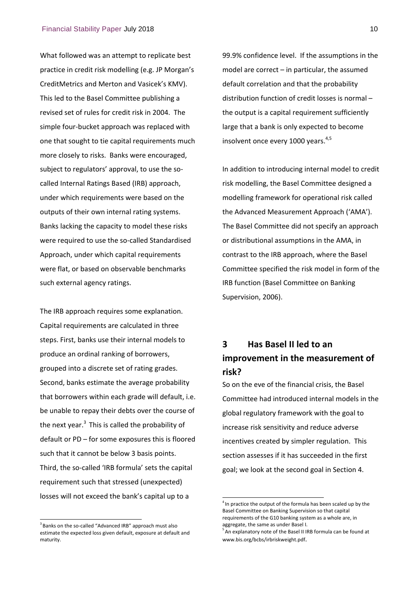What followed was an attempt to replicate best practice in credit risk modelling (e.g. JP Morgan's CreditMetrics and Merton and Vasicek's KMV). This led to the Basel Committee publishing a revised set of rules for credit risk in 2004. The simple four‐bucket approach was replaced with one that sought to tie capital requirements much more closely to risks. Banks were encouraged, subject to regulators' approval, to use the socalled Internal Ratings Based (IRB) approach, under which requirements were based on the outputs of their own internal rating systems. Banks lacking the capacity to model these risks were required to use the so-called Standardised Approach, under which capital requirements were flat, or based on observable benchmarks such external agency ratings.

The IRB approach requires some explanation. Capital requirements are calculated in three steps. First, banks use their internal models to produce an ordinal ranking of borrowers, grouped into a discrete set of rating grades. Second, banks estimate the average probability that borrowers within each grade will default, i.e. be unable to repay their debts over the course of the next year. $3$  This is called the probability of default or PD – for some exposures this is floored such that it cannot be below 3 basis points. Third, the so‐called 'IRB formula' sets the capital requirement such that stressed (unexpected) losses will not exceed the bank's capital up to a

<sup>3</sup> Banks on the so-called "Advanced IRB" approach must also estimate the expected loss given default, exposure at default and maturity.

l

99.9% confidence level. If the assumptions in the model are correct – in particular, the assumed default correlation and that the probability distribution function of credit losses is normal – the output is a capital requirement sufficiently large that a bank is only expected to become insolvent once every 1000 years. $4,5$ 

In addition to introducing internal model to credit risk modelling, the Basel Committee designed a modelling framework for operational risk called the Advanced Measurement Approach ('AMA'). The Basel Committee did not specify an approach or distributional assumptions in the AMA, in contrast to the IRB approach, where the Basel Committee specified the risk model in form of the IRB function (Basel Committee on Banking Supervision, 2006).

## **3 Has Basel II led to an improvement in the measurement of risk?**

So on the eve of the financial crisis, the Basel Committee had introduced internal models in the global regulatory framework with the goal to increase risk sensitivity and reduce adverse incentives created by simpler regulation. This section assesses if it has succeeded in the first goal; we look at the second goal in Section 4.

 $\overline{a}$ 

 $<sup>4</sup>$  In practice the output of the formula has been scaled up by the</sup> Basel Committee on Banking Supervision so that capital requirements of the G10 banking system as a whole are, in aggregate, the same as under Basel I.

<sup>5</sup> An explanatory note of the Basel II IRB formula can be found at www.bis.org/bcbs/irbriskweight.pdf.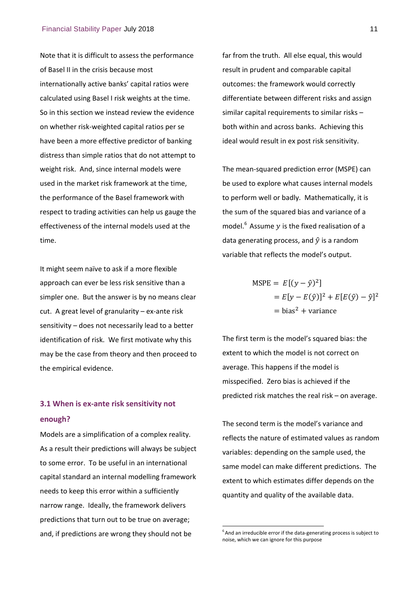Note that it is difficult to assess the performance of Basel II in the crisis because most internationally active banks' capital ratios were calculated using Basel I risk weights at the time. So in this section we instead review the evidence on whether risk‐weighted capital ratios per se have been a more effective predictor of banking distress than simple ratios that do not attempt to weight risk. And, since internal models were used in the market risk framework at the time, the performance of the Basel framework with respect to trading activities can help us gauge the effectiveness of the internal models used at the time.

It might seem naïve to ask if a more flexible approach can ever be less risk sensitive than a simpler one. But the answer is by no means clear cut. A great level of granularity – ex-ante risk sensitivity – does not necessarily lead to a better identification of risk. We first motivate why this may be the case from theory and then proceed to the empirical evidence.

## **3.1 When is ex‐ante risk sensitivity not enough?**

Models are a simplification of a complex reality. As a result their predictions will always be subject to some error. To be useful in an international capital standard an internal modelling framework needs to keep this error within a sufficiently narrow range. Ideally, the framework delivers predictions that turn out to be true on average; and, if predictions are wrong they should not be

far from the truth. All else equal, this would result in prudent and comparable capital outcomes: the framework would correctly differentiate between different risks and assign similar capital requirements to similar risks – both within and across banks. Achieving this ideal would result in ex post risk sensitivity.

The mean‐squared prediction error (MSPE) can be used to explore what causes internal models to perform well or badly. Mathematically, it is the sum of the squared bias and variance of a model. $6$  Assume y is the fixed realisation of a data generating process, and  $\hat{y}$  is a random variable that reflects the model's output.

$$
MSPE = E[(y - \hat{y})^2]
$$
  
=  $E[y - E(\hat{y})]^2 + E[E(\hat{y}) - \hat{y}]^2$   
= bias<sup>2</sup> + variance

The first term is the model's squared bias: the extent to which the model is not correct on average. This happens if the model is misspecified. Zero bias is achieved if the predicted risk matches the real risk – on average.

The second term is the model's variance and reflects the nature of estimated values as random variables: depending on the sample used, the same model can make different predictions. The extent to which estimates differ depends on the quantity and quality of the available data.

-

 $6$  And an irreducible error if the data-generating process is subject to noise, which we can ignore for this purpose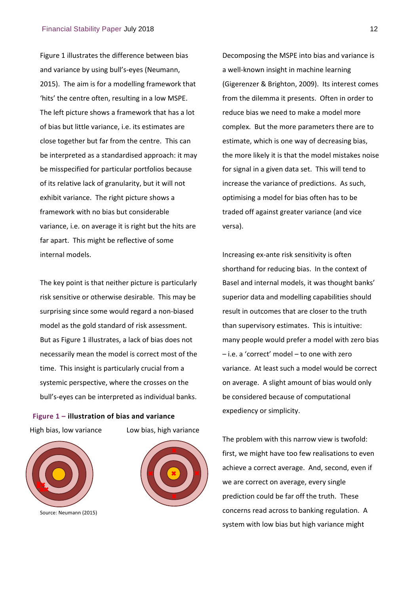Figure 1 illustrates the difference between bias and variance by using bull's‐eyes (Neumann, 2015). The aim is for a modelling framework that 'hits' the centre often, resulting in a low MSPE. The left picture shows a framework that has a lot of bias but little variance, i.e. its estimates are close together but far from the centre. This can be interpreted as a standardised approach: it may be misspecified for particular portfolios because of its relative lack of granularity, but it will not exhibit variance. The right picture shows a framework with no bias but considerable variance, i.e. on average it is right but the hits are far apart. This might be reflective of some internal models.

The key point is that neither picture is particularly risk sensitive or otherwise desirable. This may be surprising since some would regard a non‐biased model as the gold standard of risk assessment. But as Figure 1 illustrates, a lack of bias does not necessarily mean the model is correct most of the time. This insight is particularly crucial from a systemic perspective, where the crosses on the bull's‐eyes can be interpreted as individual banks.

**Figure 1 – illustration of bias and variance** High bias, low variance Low bias, high variance



Source: Neumann (2015)



Decomposing the MSPE into bias and variance is a well‐known insight in machine learning (Gigerenzer & Brighton, 2009). Its interest comes from the dilemma it presents. Often in order to reduce bias we need to make a model more complex. But the more parameters there are to estimate, which is one way of decreasing bias, the more likely it is that the model mistakes noise for signal in a given data set. This will tend to increase the variance of predictions. As such, optimising a model for bias often has to be traded off against greater variance (and vice versa).

Increasing ex‐ante risk sensitivity is often shorthand for reducing bias. In the context of Basel and internal models, it was thought banks' superior data and modelling capabilities should result in outcomes that are closer to the truth than supervisory estimates. This is intuitive: many people would prefer a model with zero bias – i.e. a 'correct' model – to one with zero variance. At least such a model would be correct on average. A slight amount of bias would only be considered because of computational expediency or simplicity.

The problem with this narrow view is twofold: first, we might have too few realisations to even achieve a correct average. And, second, even if we are correct on average, every single prediction could be far off the truth. These concerns read across to banking regulation. A system with low bias but high variance might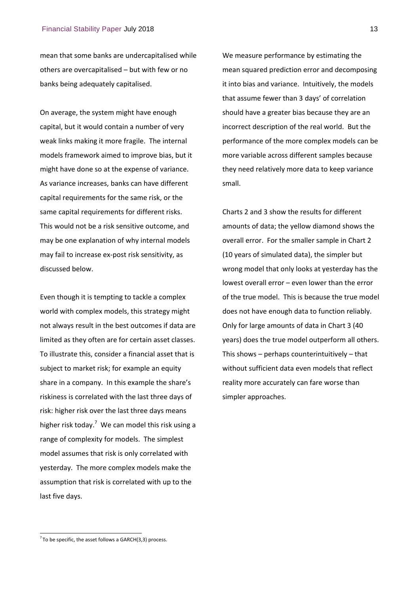mean that some banks are undercapitalised while others are overcapitalised – but with few or no banks being adequately capitalised.

On average, the system might have enough capital, but it would contain a number of very weak links making it more fragile. The internal models framework aimed to improve bias, but it might have done so at the expense of variance. As variance increases, banks can have different capital requirements for the same risk, or the same capital requirements for different risks. This would not be a risk sensitive outcome, and may be one explanation of why internal models may fail to increase ex‐post risk sensitivity, as discussed below.

Even though it is tempting to tackle a complex world with complex models, this strategy might not always result in the best outcomes if data are limited as they often are for certain asset classes. To illustrate this, consider a financial asset that is subject to market risk; for example an equity share in a company. In this example the share's riskiness is correlated with the last three days of risk: higher risk over the last three days means higher risk today.<sup>7</sup> We can model this risk using a range of complexity for models. The simplest model assumes that risk is only correlated with yesterday. The more complex models make the assumption that risk is correlated with up to the last five days.

We measure performance by estimating the mean squared prediction error and decomposing it into bias and variance. Intuitively, the models that assume fewer than 3 days' of correlation should have a greater bias because they are an incorrect description of the real world. But the performance of the more complex models can be more variable across different samples because they need relatively more data to keep variance small.

Charts 2 and 3 show the results for different amounts of data; the yellow diamond shows the overall error. For the smaller sample in Chart 2 (10 years of simulated data), the simpler but wrong model that only looks at yesterday has the lowest overall error – even lower than the error of the true model. This is because the true model does not have enough data to function reliably. Only for large amounts of data in Chart 3 (40 years) does the true model outperform all others. This shows – perhaps counterintuitively – that without sufficient data even models that reflect reality more accurately can fare worse than simpler approaches.

l

 $^7$  To be specific, the asset follows a GARCH(3,3) process.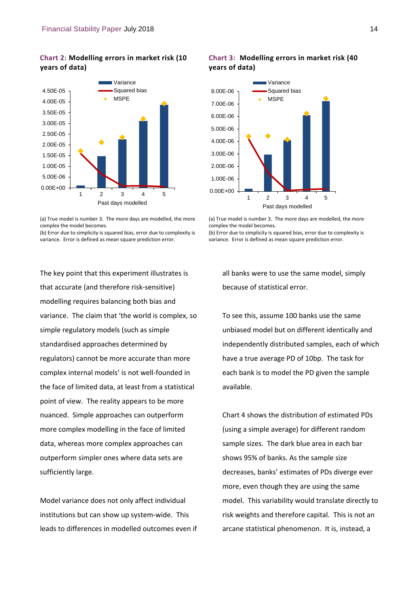## **Chart 2: Modelling errors in market risk (10 years of data)**



<sup>(</sup>a) True model is number 3. The more days are modelled, the more complex the model becomes.

(b) Error due to simplicity is squared bias, error due to complexity is variance. Error is defined as mean square prediction error.

The key point that this experiment illustrates is that accurate (and therefore risk‐sensitive) modelling requires balancing both bias and variance. The claim that 'the world is complex, so simple regulatory models (such as simple standardised approaches determined by regulators) cannot be more accurate than more complex internal models' is not well‐founded in the face of limited data, at least from a statistical point of view. The reality appears to be more nuanced. Simple approaches can outperform more complex modelling in the face of limited data, whereas more complex approaches can outperform simpler ones where data sets are sufficiently large.

Model variance does not only affect individual institutions but can show up system-wide. This leads to differences in modelled outcomes even if

#### **Chart 3: Modelling errors in market risk (40 years of data)**



<sup>(</sup>a) True model is number 3. The more days are modelled, the more complex the model becomes.

(b) Error due to simplicity is squared bias, error due to complexity is variance. Error is defined as mean square prediction error.

all banks were to use the same model, simply because of statistical error.

To see this, assume 100 banks use the same unbiased model but on different identically and independently distributed samples, each of which have a true average PD of 10bp. The task for each bank is to model the PD given the sample available.

Chart 4 shows the distribution of estimated PDs (using a simple average) for different random sample sizes. The dark blue area in each bar shows 95% of banks. As the sample size decreases, banks' estimates of PDs diverge ever more, even though they are using the same model. This variability would translate directly to risk weights and therefore capital. This is not an arcane statistical phenomenon. It is, instead, a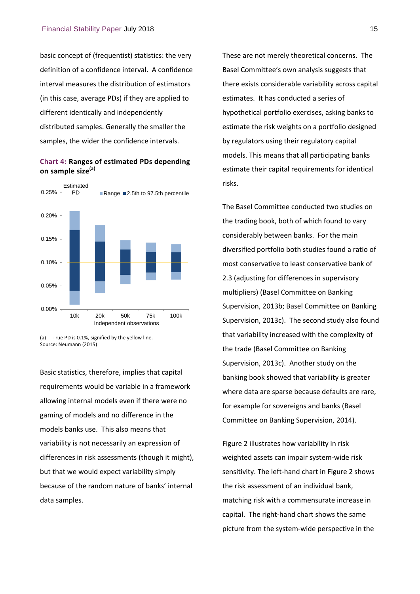basic concept of (frequentist) statistics: the very definition of a confidence interval. A confidence interval measures the distribution of estimators (in this case, average PDs) if they are applied to different identically and independently distributed samples. Generally the smaller the samples, the wider the confidence intervals.

#### **Chart 4: Ranges of estimated PDs depending on sample size(a)**



(a) True PD is 0.1%, signified by the yellow line. Source: Neumann (2015)

Basic statistics, therefore, implies that capital requirements would be variable in a framework allowing internal models even if there were no gaming of models and no difference in the models banks use. This also means that variability is not necessarily an expression of differences in risk assessments (though it might), but that we would expect variability simply because of the random nature of banks' internal data samples.

These are not merely theoretical concerns. The Basel Committee's own analysis suggests that there exists considerable variability across capital estimates. It has conducted a series of hypothetical portfolio exercises, asking banks to estimate the risk weights on a portfolio designed by regulators using their regulatory capital models. This means that all participating banks estimate their capital requirements for identical risks.

The Basel Committee conducted two studies on the trading book, both of which found to vary considerably between banks. For the main diversified portfolio both studies found a ratio of most conservative to least conservative bank of 2.3 (adjusting for differences in supervisory multipliers) (Basel Committee on Banking Supervision, 2013b; Basel Committee on Banking Supervision, 2013c). The second study also found that variability increased with the complexity of the trade (Basel Committee on Banking Supervision, 2013c). Another study on the banking book showed that variability is greater where data are sparse because defaults are rare, for example for sovereigns and banks (Basel Committee on Banking Supervision, 2014).

Figure 2 illustrates how variability in risk weighted assets can impair system‐wide risk sensitivity. The left-hand chart in Figure 2 shows the risk assessment of an individual bank, matching risk with a commensurate increase in capital. The right‐hand chart shows the same picture from the system‐wide perspective in the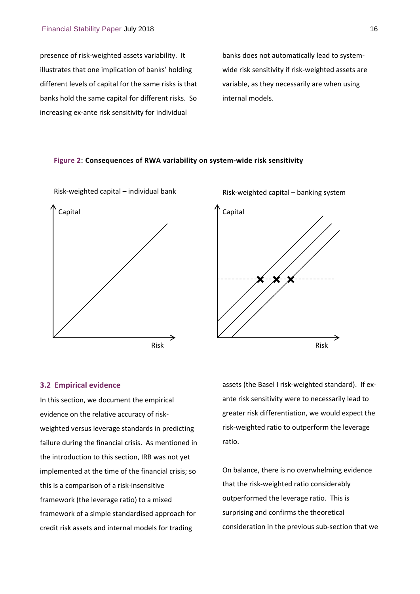presence of risk‐weighted assets variability. It illustrates that one implication of banks' holding different levels of capital for the same risks is that banks hold the same capital for different risks. So increasing ex‐ante risk sensitivity for individual

banks does not automatically lead to system‐ wide risk sensitivity if risk‐weighted assets are variable, as they necessarily are when using internal models.

#### **Figure 2**: **Consequences of RWA variability on system‐wide risk sensitivity**





#### **3.2 Empirical evidence**

In this section, we document the empirical evidence on the relative accuracy of risk‐ weighted versus leverage standards in predicting failure during the financial crisis. As mentioned in the introduction to this section, IRB was not yet implemented at the time of the financial crisis; so this is a comparison of a risk‐insensitive framework (the leverage ratio) to a mixed framework of a simple standardised approach for credit risk assets and internal models for trading

assets (the Basel I risk‐weighted standard). If ex‐ ante risk sensitivity were to necessarily lead to greater risk differentiation, we would expect the risk‐weighted ratio to outperform the leverage ratio.

On balance, there is no overwhelming evidence that the risk‐weighted ratio considerably outperformed the leverage ratio. This is surprising and confirms the theoretical consideration in the previous sub‐section that we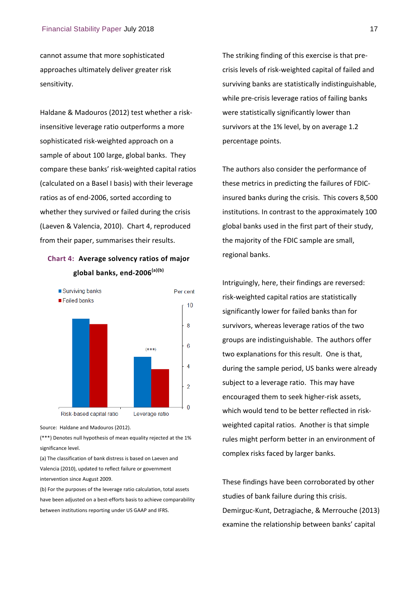cannot assume that more sophisticated approaches ultimately deliver greater risk sensitivity.

Haldane & Madouros (2012) test whether a risk‐ insensitive leverage ratio outperforms a more sophisticated risk‐weighted approach on a sample of about 100 large, global banks. They compare these banks' risk‐weighted capital ratios (calculated on a Basel I basis) with their leverage ratios as of end‐2006, sorted according to whether they survived or failed during the crisis (Laeven & Valencia, 2010). Chart 4, reproduced from their paper, summarises their results.

## **Chart 4: Average solvency ratios of major global banks, end‐2006(a)(b)**



Source: Haldane and Madouros (2012).

(\*\*\*) Denotes null hypothesis of mean equality rejected at the 1% significance level.

(a) The classification of bank distress is based on Laeven and Valencia (2010), updated to reflect failure or government intervention since August 2009.

(b) For the purposes of the leverage ratio calculation, total assets have been adjusted on a best-efforts basis to achieve comparability between institutions reporting under US GAAP and IFRS.

The striking finding of this exercise is that pre‐ crisis levels of risk‐weighted capital of failed and surviving banks are statistically indistinguishable, while pre-crisis leverage ratios of failing banks were statistically significantly lower than survivors at the 1% level, by on average 1.2 percentage points.

The authors also consider the performance of these metrics in predicting the failures of FDIC‐ insured banks during the crisis. This covers 8,500 institutions. In contrast to the approximately 100 global banks used in the first part of their study, the majority of the FDIC sample are small, regional banks.

Intriguingly, here, their findings are reversed: risk‐weighted capital ratios are statistically significantly lower for failed banks than for survivors, whereas leverage ratios of the two groups are indistinguishable. The authors offer two explanations for this result. One is that, during the sample period, US banks were already subject to a leverage ratio. This may have encouraged them to seek higher‐risk assets, which would tend to be better reflected in riskweighted capital ratios. Another is that simple rules might perform better in an environment of complex risks faced by larger banks.

These findings have been corroborated by other studies of bank failure during this crisis. Demirguc‐Kunt, Detragiache, & Merrouche (2013) examine the relationship between banks' capital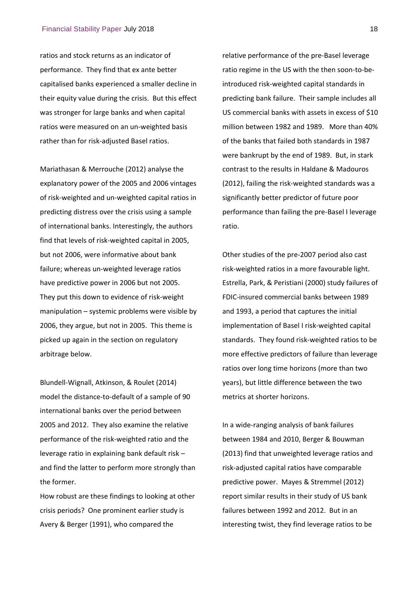ratios and stock returns as an indicator of performance. They find that ex ante better capitalised banks experienced a smaller decline in their equity value during the crisis. But this effect was stronger for large banks and when capital ratios were measured on an un‐weighted basis rather than for risk‐adjusted Basel ratios.

Mariathasan & Merrouche (2012) analyse the explanatory power of the 2005 and 2006 vintages of risk‐weighted and un‐weighted capital ratios in predicting distress over the crisis using a sample of international banks. Interestingly, the authors find that levels of risk‐weighted capital in 2005, but not 2006, were informative about bank failure; whereas un‐weighted leverage ratios have predictive power in 2006 but not 2005. They put this down to evidence of risk‐weight manipulation – systemic problems were visible by 2006, they argue, but not in 2005. This theme is picked up again in the section on regulatory arbitrage below.

Blundell‐Wignall, Atkinson, & Roulet (2014) model the distance‐to‐default of a sample of 90 international banks over the period between 2005 and 2012. They also examine the relative performance of the risk‐weighted ratio and the leverage ratio in explaining bank default risk – and find the latter to perform more strongly than the former.

How robust are these findings to looking at other crisis periods? One prominent earlier study is Avery & Berger (1991), who compared the

relative performance of the pre‐Basel leverage ratio regime in the US with the then soon-to-beintroduced risk‐weighted capital standards in predicting bank failure. Their sample includes all US commercial banks with assets in excess of \$10 million between 1982 and 1989. More than 40% of the banks that failed both standards in 1987 were bankrupt by the end of 1989. But, in stark contrast to the results in Haldane & Madouros (2012), failing the risk‐weighted standards was a significantly better predictor of future poor performance than failing the pre‐Basel I leverage ratio.

Other studies of the pre‐2007 period also cast risk‐weighted ratios in a more favourable light. Estrella, Park, & Peristiani (2000) study failures of FDIC‐insured commercial banks between 1989 and 1993, a period that captures the initial implementation of Basel I risk‐weighted capital standards. They found risk‐weighted ratios to be more effective predictors of failure than leverage ratios over long time horizons (more than two years), but little difference between the two metrics at shorter horizons.

In a wide‐ranging analysis of bank failures between 1984 and 2010, Berger & Bouwman (2013) find that unweighted leverage ratios and risk‐adjusted capital ratios have comparable predictive power. Mayes & Stremmel (2012) report similar results in their study of US bank failures between 1992 and 2012. But in an interesting twist, they find leverage ratios to be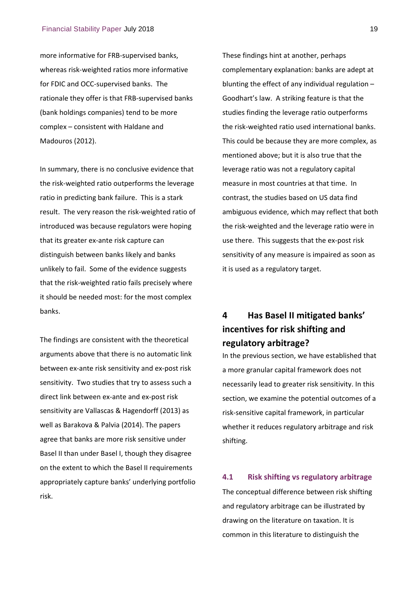more informative for FRB‐supervised banks, whereas risk‐weighted ratios more informative for FDIC and OCC‐supervised banks. The rationale they offer is that FRB‐supervised banks (bank holdings companies) tend to be more complex – consistent with Haldane and Madouros (2012).

In summary, there is no conclusive evidence that the risk‐weighted ratio outperforms the leverage ratio in predicting bank failure. This is a stark result. The very reason the risk‐weighted ratio of introduced was because regulators were hoping that its greater ex‐ante risk capture can distinguish between banks likely and banks unlikely to fail. Some of the evidence suggests that the risk‐weighted ratio fails precisely where it should be needed most: for the most complex banks.

The findings are consistent with the theoretical arguments above that there is no automatic link between ex‐ante risk sensitivity and ex‐post risk sensitivity. Two studies that try to assess such a direct link between ex‐ante and ex‐post risk sensitivity are Vallascas & Hagendorff (2013) as well as Barakova & Palvia (2014). The papers agree that banks are more risk sensitive under Basel II than under Basel I, though they disagree on the extent to which the Basel II requirements appropriately capture banks' underlying portfolio risk.

These findings hint at another, perhaps complementary explanation: banks are adept at blunting the effect of any individual regulation – Goodhart's law. A striking feature is that the studies finding the leverage ratio outperforms the risk‐weighted ratio used international banks. This could be because they are more complex, as mentioned above; but it is also true that the leverage ratio was not a regulatory capital measure in most countries at that time. In contrast, the studies based on US data find ambiguous evidence, which may reflect that both the risk‐weighted and the leverage ratio were in use there. This suggests that the ex‐post risk sensitivity of any measure is impaired as soon as it is used as a regulatory target.

## **4 Has Basel II mitigated banks' incentives for risk shifting and regulatory arbitrage?**

In the previous section, we have established that a more granular capital framework does not necessarily lead to greater risk sensitivity. In this section, we examine the potential outcomes of a risk‐sensitive capital framework, in particular whether it reduces regulatory arbitrage and risk shifting.

#### **4.1 Risk shifting vs regulatory arbitrage**

The conceptual difference between risk shifting and regulatory arbitrage can be illustrated by drawing on the literature on taxation. It is common in this literature to distinguish the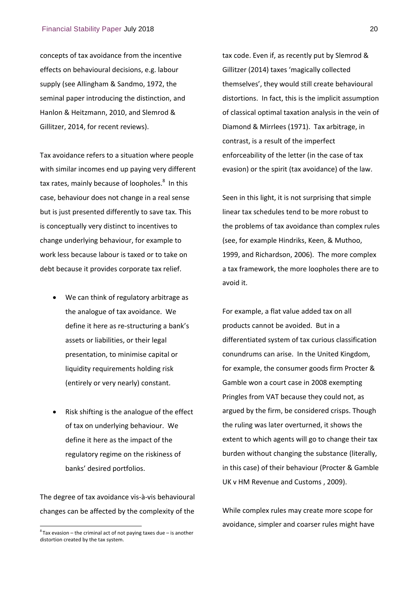concepts of tax avoidance from the incentive effects on behavioural decisions, e.g. labour supply (see Allingham & Sandmo, 1972, the seminal paper introducing the distinction, and Hanlon & Heitzmann, 2010, and Slemrod & Gillitzer, 2014, for recent reviews).

Tax avoidance refers to a situation where people with similar incomes end up paying very different tax rates, mainly because of loopholes.<sup>8</sup> In this case, behaviour does not change in a real sense but is just presented differently to save tax. This is conceptually very distinct to incentives to change underlying behaviour, for example to work less because labour is taxed or to take on debt because it provides corporate tax relief.

- We can think of regulatory arbitrage as the analogue of tax avoidance. We define it here as re‐structuring a bank's assets or liabilities, or their legal presentation, to minimise capital or liquidity requirements holding risk (entirely or very nearly) constant.
- Risk shifting is the analogue of the effect of tax on underlying behaviour. We define it here as the impact of the regulatory regime on the riskiness of banks' desired portfolios.

The degree of tax avoidance vis‐à‐vis behavioural changes can be affected by the complexity of the

l

tax code. Even if, as recently put by Slemrod & Gillitzer (2014) taxes 'magically collected themselves', they would still create behavioural distortions. In fact, this is the implicit assumption of classical optimal taxation analysis in the vein of Diamond & Mirrlees (1971). Tax arbitrage, in contrast, is a result of the imperfect enforceability of the letter (in the case of tax evasion) or the spirit (tax avoidance) of the law.

Seen in this light, it is not surprising that simple linear tax schedules tend to be more robust to the problems of tax avoidance than complex rules (see, for example Hindriks, Keen, & Muthoo, 1999, and Richardson, 2006). The more complex a tax framework, the more loopholes there are to avoid it.

For example, a flat value added tax on all products cannot be avoided. But in a differentiated system of tax curious classification conundrums can arise. In the United Kingdom, for example, the consumer goods firm Procter & Gamble won a court case in 2008 exempting Pringles from VAT because they could not, as argued by the firm, be considered crisps. Though the ruling was later overturned, it shows the extent to which agents will go to change their tax burden without changing the substance (literally, in this case) of their behaviour (Procter & Gamble UK v HM Revenue and Customs , 2009).

While complex rules may create more scope for avoidance, simpler and coarser rules might have

 ${}^{8}$ Tax evasion – the criminal act of not paying taxes due – is another distortion created by the tax system.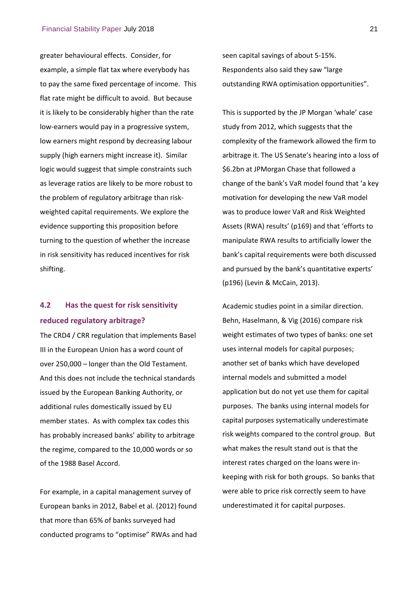greater behavioural effects. Consider, for example, a simple flat tax where everybody has to pay the same fixed percentage of income. This flat rate might be difficult to avoid. But because it is likely to be considerably higher than the rate low-earners would pay in a progressive system, low earners might respond by decreasing labour supply (high earners might increase it). Similar logic would suggest that simple constraints such as leverage ratios are likely to be more robust to the problem of regulatory arbitrage than risk‐ weighted capital requirements. We explore the evidence supporting this proposition before turning to the question of whether the increase in risk sensitivity has reduced incentives for risk shifting.

## **4.2 Has the quest for risk sensitivity reduced regulatory arbitrage?**

The CRD4 / CRR regulation that implements Basel III in the European Union has a word count of over 250,000 – longer than the Old Testament. And this does not include the technical standards issued by the European Banking Authority, or additional rules domestically issued by EU member states. As with complex tax codes this has probably increased banks' ability to arbitrage the regime, compared to the 10,000 words or so of the 1988 Basel Accord.

For example, in a capital management survey of European banks in 2012, Babel et al. (2012) found that more than 65% of banks surveyed had conducted programs to "optimise" RWAs and had seen capital savings of about 5‐15%. Respondents also said they saw "large outstanding RWA optimisation opportunities".

This is supported by the JP Morgan 'whale' case study from 2012, which suggests that the complexity of the framework allowed the firm to arbitrage it. The US Senate's hearing into a loss of \$6.2bn at JPMorgan Chase that followed a change of the bank's VaR model found that 'a key motivation for developing the new VaR model was to produce lower VaR and Risk Weighted Assets (RWA) results' (p169) and that 'efforts to manipulate RWA results to artificially lower the bank's capital requirements were both discussed and pursued by the bank's quantitative experts' (p196) (Levin & McCain, 2013).

Academic studies point in a similar direction. Behn, Haselmann, & Vig (2016) compare risk weight estimates of two types of banks: one set uses internal models for capital purposes; another set of banks which have developed internal models and submitted a model application but do not yet use them for capital purposes. The banks using internal models for capital purposes systematically underestimate risk weights compared to the control group. But what makes the result stand out is that the interest rates charged on the loans were in‐ keeping with risk for both groups. So banks that were able to price risk correctly seem to have underestimated it for capital purposes.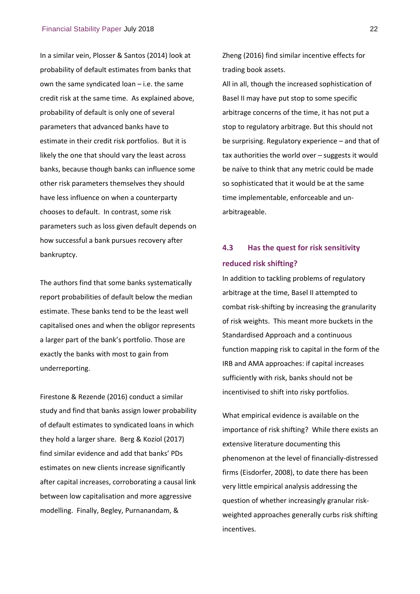In a similar vein, Plosser & Santos (2014) look at probability of default estimates from banks that own the same syndicated loan – i.e. the same credit risk at the same time. As explained above, probability of default is only one of several parameters that advanced banks have to estimate in their credit risk portfolios. But it is likely the one that should vary the least across banks, because though banks can influence some other risk parameters themselves they should have less influence on when a counterparty chooses to default. In contrast, some risk parameters such as loss given default depends on how successful a bank pursues recovery after bankruptcy.

The authors find that some banks systematically report probabilities of default below the median estimate. These banks tend to be the least well capitalised ones and when the obligor represents a larger part of the bank's portfolio. Those are exactly the banks with most to gain from underreporting.

Firestone & Rezende (2016) conduct a similar study and find that banks assign lower probability of default estimates to syndicated loans in which they hold a larger share. Berg & Koziol (2017) find similar evidence and add that banks' PDs estimates on new clients increase significantly after capital increases, corroborating a causal link between low capitalisation and more aggressive modelling. Finally, Begley, Purnanandam, &

Zheng (2016) find similar incentive effects for trading book assets.

All in all, though the increased sophistication of Basel II may have put stop to some specific arbitrage concerns of the time, it has not put a stop to regulatory arbitrage. But this should not be surprising. Regulatory experience – and that of tax authorities the world over – suggests it would be naïve to think that any metric could be made so sophisticated that it would be at the same time implementable, enforceable and un‐ arbitrageable.

## **4.3 Has the quest for risk sensitivity reduced risk shifting?**

In addition to tackling problems of regulatory arbitrage at the time, Basel II attempted to combat risk‐shifting by increasing the granularity of risk weights. This meant more buckets in the Standardised Approach and a continuous function mapping risk to capital in the form of the IRB and AMA approaches: if capital increases sufficiently with risk, banks should not be incentivised to shift into risky portfolios.

What empirical evidence is available on the importance of risk shifting? While there exists an extensive literature documenting this phenomenon at the level of financially‐distressed firms (Eisdorfer, 2008), to date there has been very little empirical analysis addressing the question of whether increasingly granular risk‐ weighted approaches generally curbs risk shifting incentives.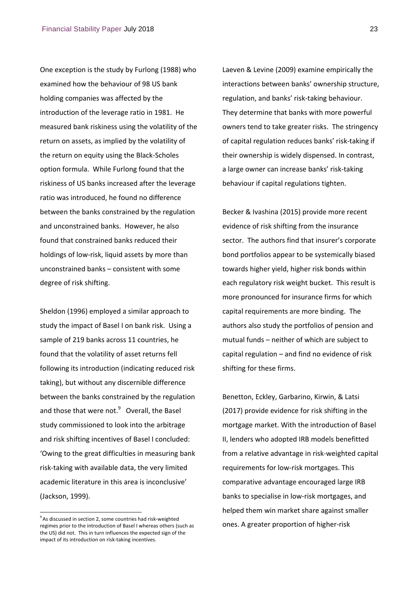One exception is the study by Furlong (1988) who examined how the behaviour of 98 US bank holding companies was affected by the introduction of the leverage ratio in 1981. He measured bank riskiness using the volatility of the return on assets, as implied by the volatility of the return on equity using the Black‐Scholes option formula. While Furlong found that the riskiness of US banks increased after the leverage ratio was introduced, he found no difference between the banks constrained by the regulation and unconstrained banks. However, he also found that constrained banks reduced their holdings of low‐risk, liquid assets by more than unconstrained banks – consistent with some degree of risk shifting.

Sheldon (1996) employed a similar approach to study the impact of Basel I on bank risk. Using a sample of 219 banks across 11 countries, he found that the volatility of asset returns fell following its introduction (indicating reduced risk taking), but without any discernible difference between the banks constrained by the regulation and those that were not. $9$  Overall, the Basel study commissioned to look into the arbitrage and risk shifting incentives of Basel I concluded: 'Owing to the great difficulties in measuring bank risk‐taking with available data, the very limited academic literature in this area is inconclusive' (Jackson, 1999).

<sup>9</sup> As discussed in section 2, some countries had risk-weighted regimes prior to the introduction of Basel I whereas others (such as the US) did not. This in turn influences the expected sign of the impact of its introduction on risk‐taking incentives.

l

Laeven & Levine (2009) examine empirically the interactions between banks' ownership structure, regulation, and banks' risk‐taking behaviour. They determine that banks with more powerful owners tend to take greater risks. The stringency of capital regulation reduces banks' risk‐taking if their ownership is widely dispensed. In contrast, a large owner can increase banks' risk‐taking behaviour if capital regulations tighten.

Becker & Ivashina (2015) provide more recent evidence of risk shifting from the insurance sector. The authors find that insurer's corporate bond portfolios appear to be systemically biased towards higher yield, higher risk bonds within each regulatory risk weight bucket. This result is more pronounced for insurance firms for which capital requirements are more binding. The authors also study the portfolios of pension and mutual funds – neither of which are subject to capital regulation – and find no evidence of risk shifting for these firms.

Benetton, Eckley, Garbarino, Kirwin, & Latsi (2017) provide evidence for risk shifting in the mortgage market. With the introduction of Basel II, lenders who adopted IRB models benefitted from a relative advantage in risk‐weighted capital requirements for low‐risk mortgages. This comparative advantage encouraged large IRB banks to specialise in low‐risk mortgages, and helped them win market share against smaller ones. A greater proportion of higher‐risk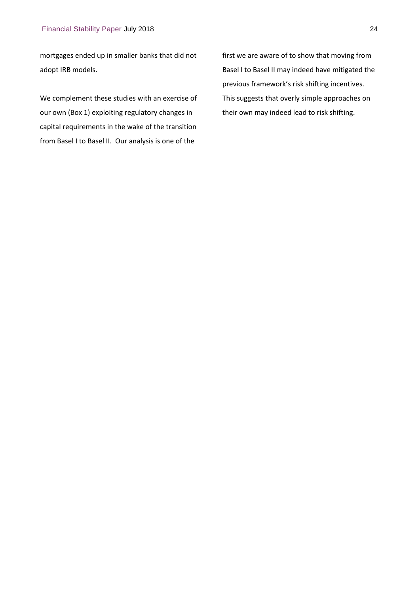mortgages ended up in smaller banks that did not adopt IRB models.

We complement these studies with an exercise of our own (Box 1) exploiting regulatory changes in capital requirements in the wake of the transition from Basel I to Basel II. Our analysis is one of the

first we are aware of to show that moving from Basel I to Basel II may indeed have mitigated the previous framework's risk shifting incentives. This suggests that overly simple approaches on their own may indeed lead to risk shifting.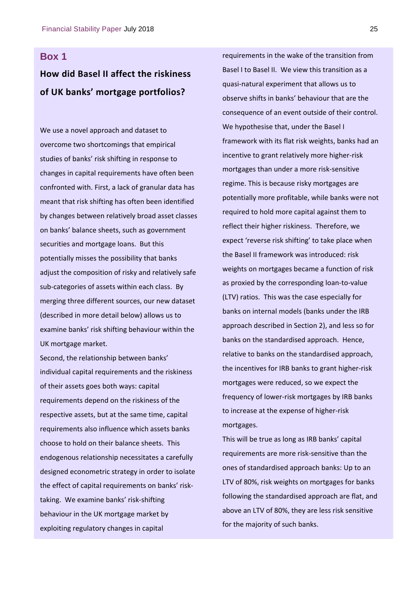## **Box 1**

## **How did Basel II affect the riskiness of UK banks' mortgage portfolios?**

We use a novel approach and dataset to overcome two shortcomings that empirical studies of banks' risk shifting in response to changes in capital requirements have often been confronted with. First, a lack of granular data has meant that risk shifting has often been identified by changes between relatively broad asset classes on banks' balance sheets, such as government securities and mortgage loans. But this potentially misses the possibility that banks adjust the composition of risky and relatively safe sub-categories of assets within each class. By merging three different sources, our new dataset (described in more detail below) allows us to examine banks' risk shifting behaviour within the UK mortgage market.

Second, the relationship between banks' individual capital requirements and the riskiness of their assets goes both ways: capital requirements depend on the riskiness of the respective assets, but at the same time, capital requirements also influence which assets banks choose to hold on their balance sheets. This endogenous relationship necessitates a carefully designed econometric strategy in order to isolate the effect of capital requirements on banks' risk‐ taking. We examine banks' risk‐shifting behaviour in the UK mortgage market by exploiting regulatory changes in capital

requirements in the wake of the transition from Basel I to Basel II. We view this transition as a quasi‐natural experiment that allows us to observe shifts in banks' behaviour that are the consequence of an event outside of their control. We hypothesise that, under the Basel I framework with its flat risk weights, banks had an incentive to grant relatively more higher‐risk mortgages than under a more risk‐sensitive regime. This is because risky mortgages are potentially more profitable, while banks were not required to hold more capital against them to reflect their higher riskiness. Therefore, we expect 'reverse risk shifting' to take place when the Basel II framework was introduced: risk weights on mortgages became a function of risk as proxied by the corresponding loan‐to‐value (LTV) ratios. This was the case especially for banks on internal models (banks under the IRB approach described in Section 2), and less so for banks on the standardised approach. Hence, relative to banks on the standardised approach, the incentives for IRB banks to grant higher‐risk mortgages were reduced, so we expect the frequency of lower‐risk mortgages by IRB banks to increase at the expense of higher‐risk mortgages.

This will be true as long as IRB banks' capital requirements are more risk‐sensitive than the ones of standardised approach banks: Up to an LTV of 80%, risk weights on mortgages for banks following the standardised approach are flat, and above an LTV of 80%, they are less risk sensitive for the majority of such banks.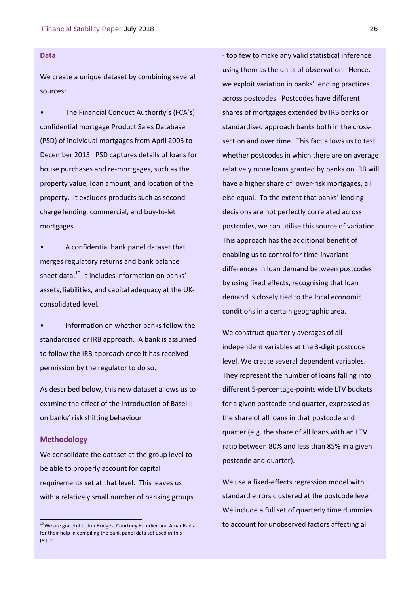#### **Data**

We create a unique dataset by combining several sources:

The Financial Conduct Authority's (FCA's) confidential mortgage Product Sales Database (PSD) of individual mortgages from April 2005 to December 2013. PSD captures details of loans for house purchases and re‐mortgages, such as the property value, loan amount, and location of the property. It excludes products such as second‐ charge lending, commercial, and buy‐to‐let mortgages.

• A confidential bank panel dataset that merges regulatory returns and bank balance sheet data.<sup>10</sup> It includes information on banks' assets, liabilities, and capital adequacy at the UK‐ consolidated level.

• Information on whether banks follow the standardised or IRB approach. A bank is assumed to follow the IRB approach once it has received permission by the regulator to do so.

As described below, this new dataset allows us to examine the effect of the introduction of Basel II on banks' risk shifting behaviour

#### **Methodology**

We consolidate the dataset at the group level to be able to properly account for capital requirements set at that level. This leaves us with a relatively small number of banking groups ‐ too few to make any valid statistical inference using them as the units of observation. Hence, we exploit variation in banks' lending practices across postcodes. Postcodes have different shares of mortgages extended by IRB banks or standardised approach banks both in the cross‐ section and over time. This fact allows us to test whether postcodes in which there are on average relatively more loans granted by banks on IRB will have a higher share of lower‐risk mortgages, all else equal. To the extent that banks' lending decisions are not perfectly correlated across postcodes, we can utilise this source of variation. This approach has the additional benefit of enabling us to control for time‐invariant differences in loan demand between postcodes by using fixed effects, recognising that loan demand is closely tied to the local economic conditions in a certain geographic area.

We construct quarterly averages of all independent variables at the 3‐digit postcode level. We create several dependent variables. They represent the number of loans falling into different 5‐percentage‐points wide LTV buckets for a given postcode and quarter, expressed as the share of all loans in that postcode and quarter (e.g. the share of all loans with an LTV ratio between 80% and less than 85% in a given postcode and quarter).

We use a fixed‐effects regression model with standard errors clustered at the postcode level. We include a full set of quarterly time dummies to account for unobserved factors affecting all

 $10$  We are grateful to Jon Bridges, Courtney Escudier and Amar Radia for their help in compiling the bank panel data set used in this paper.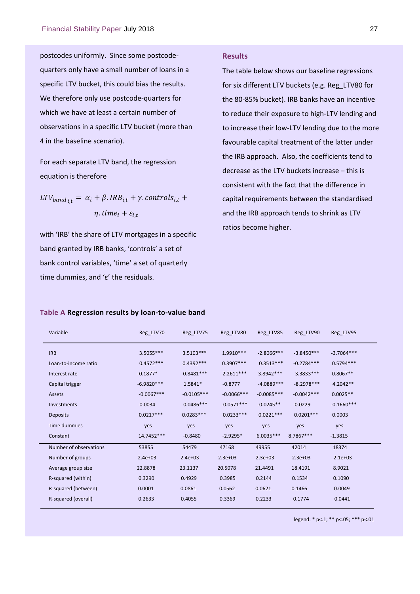postcodes uniformly. Since some postcode‐ quarters only have a small number of loans in a specific LTV bucket, this could bias the results. We therefore only use postcode-quarters for which we have at least a certain number of observations in a specific LTV bucket (more than 4 in the baseline scenario).

For each separate LTV band, the regression equation is therefore

 $LTV_{band_{i,t}} = \alpha_i + \beta \cdot IRB_{i,t} + \gamma \cdot controls_{i,t} +$  $\eta$ . time<sub>i</sub> +  $\varepsilon_{i,t}$ 

with 'IRB' the share of LTV mortgages in a specific band granted by IRB banks, 'controls' a set of bank control variables, 'time' a set of quarterly time dummies, and 'ε' the residuals.

#### **Table A Regression results by loan‐to‐value band**

## **Results**

The table below shows our baseline regressions for six different LTV buckets (e.g. Reg\_LTV80 for the 80‐85% bucket). IRB banks have an incentive to reduce their exposure to high‐LTV lending and to increase their low‐LTV lending due to the more favourable capital treatment of the latter under the IRB approach. Also, the coefficients tend to decrease as the LTV buckets increase – this is consistent with the fact that the difference in capital requirements between the standardised and the IRB approach tends to shrink as LTV ratios become higher.

| Variable               | Reg_LTV70    | Reg LTV75    | Reg_LTV80     | Reg LTV85    | Reg LTV90    | Reg LTV95    |
|------------------------|--------------|--------------|---------------|--------------|--------------|--------------|
| <b>IRB</b>             | 3.5055***    | $3.5103***$  | $1.9910***$   | $-2.8066***$ | $-3.8450***$ | $-3.7064***$ |
| Loan-to-income ratio   | $0.4572***$  | $0.4392***$  | $0.3907***$   | $0.3513***$  | $-0.2784***$ | $0.5794***$  |
| Interest rate          | $-0.1877*$   | $0.8481***$  | $2.2611***$   | $3.8942***$  | 3.3833 ***   | $0.8067**$   |
| Capital trigger        | $-6.9820***$ | 1.5841*      | $-0.8777$     | $-4.0889***$ | $-8.2978***$ | $4.2042**$   |
| Assets                 | $-0.0067***$ | $-0.0105***$ | $-0.0066$ *** | $-0.0085***$ | $-0.0042***$ | $0.0025**$   |
| <b>Investments</b>     | 0.0034       | $0.0486***$  | $-0.0571***$  | $-0.0245**$  | 0.0229       | $-0.1660***$ |
| <b>Deposits</b>        | $0.0217***$  | $0.0283***$  | $0.0233***$   | $0.0221***$  | $0.0201***$  | 0.0003       |
| Time dummies           | yes          | yes          | yes           | yes          | yes          | yes          |
| Constant               | 14.7452***   | $-0.8480$    | $-2.9295*$    | $6.0035***$  | 8.7867***    | $-1.3815$    |
| Number of observations | 53855        | 54479        | 47168         | 49955        | 42014        | 18374        |
| Number of groups       | $2.4e+03$    | $2.4e + 03$  | $2.3e+03$     | $2.3e+03$    | $2.3e+03$    | $2.1e+03$    |
| Average group size     | 22.8878      | 23.1137      | 20.5078       | 21.4491      | 18.4191      | 8.9021       |
| R-squared (within)     | 0.3290       | 0.4929       | 0.3985        | 0.2144       | 0.1534       | 0.1090       |
| R-squared (between)    | 0.0001       | 0.0861       | 0.0562        | 0.0621       | 0.1466       | 0.0049       |
| R-squared (overall)    | 0.2633       | 0.4055       | 0.3369        | 0.2233       | 0.1774       | 0.0441       |

legend: \* p<.1; \*\* p<.05; \*\*\* p<.01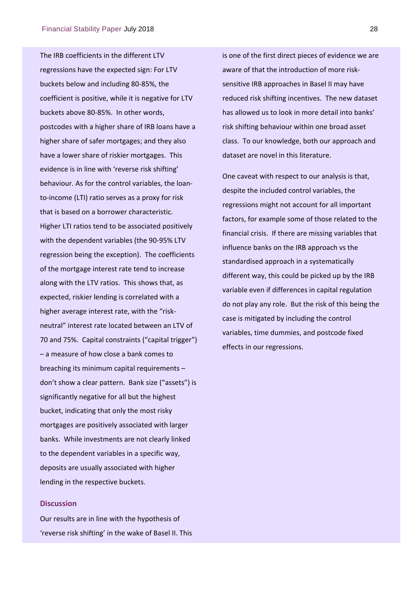The IRB coefficients in the different LTV regressions have the expected sign: For LTV buckets below and including 80‐85%, the coefficient is positive, while it is negative for LTV buckets above 80‐85%. In other words, postcodes with a higher share of IRB loans have a higher share of safer mortgages; and they also have a lower share of riskier mortgages. This evidence is in line with 'reverse risk shifting' behaviour. As for the control variables, the loan‐ to‐income (LTI) ratio serves as a proxy for risk that is based on a borrower characteristic. Higher LTI ratios tend to be associated positively with the dependent variables (the 90‐95% LTV regression being the exception). The coefficients of the mortgage interest rate tend to increase along with the LTV ratios. This shows that, as expected, riskier lending is correlated with a higher average interest rate, with the "riskneutral" interest rate located between an LTV of 70 and 75%. Capital constraints ("capital trigger") – a measure of how close a bank comes to breaching its minimum capital requirements – don't show a clear pattern. Bank size ("assets") is significantly negative for all but the highest bucket, indicating that only the most risky mortgages are positively associated with larger banks. While investments are not clearly linked to the dependent variables in a specific way, deposits are usually associated with higher lending in the respective buckets.

#### **Discussion**

Our results are in line with the hypothesis of 'reverse risk shifting' in the wake of Basel II. This

is one of the first direct pieces of evidence we are aware of that the introduction of more risk‐ sensitive IRB approaches in Basel II may have reduced risk shifting incentives. The new dataset has allowed us to look in more detail into banks' risk shifting behaviour within one broad asset class. To our knowledge, both our approach and dataset are novel in this literature.

One caveat with respect to our analysis is that, despite the included control variables, the regressions might not account for all important factors, for example some of those related to the financial crisis. If there are missing variables that influence banks on the IRB approach vs the standardised approach in a systematically different way, this could be picked up by the IRB variable even if differences in capital regulation do not play any role. But the risk of this being the case is mitigated by including the control variables, time dummies, and postcode fixed effects in our regressions.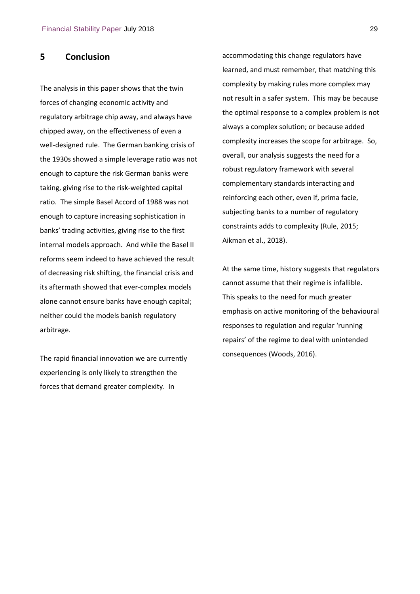## **5 Conclusion**

The analysis in this paper shows that the twin forces of changing economic activity and regulatory arbitrage chip away, and always have chipped away, on the effectiveness of even a well-designed rule. The German banking crisis of the 1930s showed a simple leverage ratio was not enough to capture the risk German banks were taking, giving rise to the risk‐weighted capital ratio. The simple Basel Accord of 1988 was not enough to capture increasing sophistication in banks' trading activities, giving rise to the first internal models approach. And while the Basel II reforms seem indeed to have achieved the result of decreasing risk shifting, the financial crisis and its aftermath showed that ever-complex models alone cannot ensure banks have enough capital; neither could the models banish regulatory arbitrage.

The rapid financial innovation we are currently experiencing is only likely to strengthen the forces that demand greater complexity. In

accommodating this change regulators have learned, and must remember, that matching this complexity by making rules more complex may not result in a safer system. This may be because the optimal response to a complex problem is not always a complex solution; or because added complexity increases the scope for arbitrage. So, overall, our analysis suggests the need for a robust regulatory framework with several complementary standards interacting and reinforcing each other, even if, prima facie, subjecting banks to a number of regulatory constraints adds to complexity (Rule, 2015; Aikman et al., 2018).

At the same time, history suggests that regulators cannot assume that their regime is infallible. This speaks to the need for much greater emphasis on active monitoring of the behavioural responses to regulation and regular 'running repairs' of the regime to deal with unintended consequences (Woods, 2016).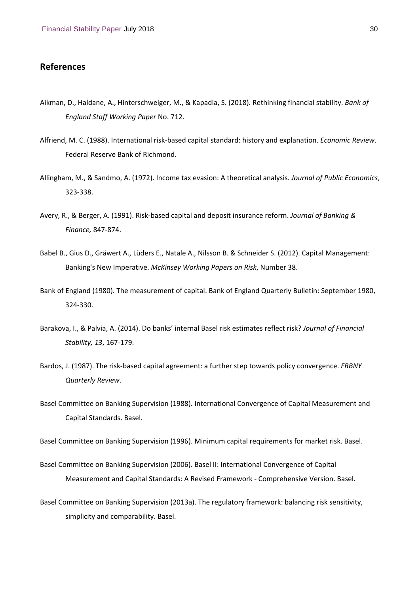## **References**

- Aikman, D., Haldane, A., Hinterschweiger, M., & Kapadia, S. (2018). Rethinking financial stability. *Bank of England Staff Working Paper* No. 712.
- Alfriend, M. C. (1988). International risk‐based capital standard: history and explanation. *Economic Review*. Federal Reserve Bank of Richmond.
- Allingham, M., & Sandmo, A. (1972). Income tax evasion: A theoretical analysis. *Journal of Public Economics*, 323‐338.
- Avery, R., & Berger, A. (1991). Risk‐based capital and deposit insurance reform. *Journal of Banking & Finance,* 847‐874.
- Babel B., Gius D., Gräwert A., Lüders E., Natale A., Nilsson B. & Schneider S. (2012). Capital Management: Banking's New Imperative. *McKinsey Working Papers on Risk*, Number 38.
- Bank of England (1980). The measurement of capital. Bank of England Quarterly Bulletin: September 1980, 324‐330.
- Barakova, I., & Palvia, A. (2014). Do banks' internal Basel risk estimates reflect risk? *Journal of Financial Stability, 13*, 167‐179.
- Bardos, J. (1987). The risk‐based capital agreement: a further step towards policy convergence. *FRBNY Quarterly Review*.
- Basel Committee on Banking Supervision (1988). International Convergence of Capital Measurement and Capital Standards. Basel.

Basel Committee on Banking Supervision (1996). Minimum capital requirements for market risk. Basel.

- Basel Committee on Banking Supervision (2006). Basel II: International Convergence of Capital Measurement and Capital Standards: A Revised Framework ‐ Comprehensive Version. Basel.
- Basel Committee on Banking Supervision (2013a). The regulatory framework: balancing risk sensitivity, simplicity and comparability. Basel.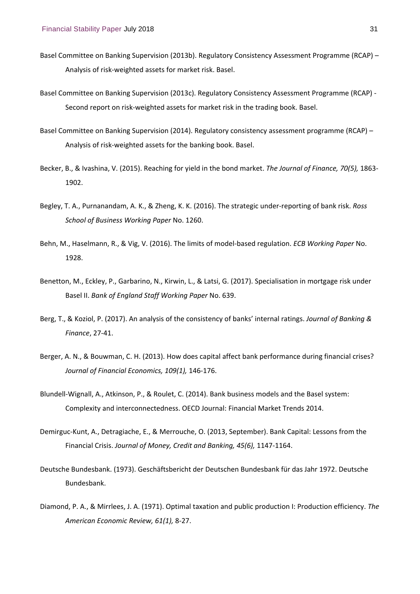- Basel Committee on Banking Supervision (2013b). Regulatory Consistency Assessment Programme (RCAP) Analysis of risk‐weighted assets for market risk. Basel.
- Basel Committee on Banking Supervision (2013c). Regulatory Consistency Assessment Programme (RCAP) ‐ Second report on risk-weighted assets for market risk in the trading book. Basel.
- Basel Committee on Banking Supervision (2014). Regulatory consistency assessment programme (RCAP) Analysis of risk‐weighted assets for the banking book. Basel.
- Becker, B., & Ivashina, V. (2015). Reaching for yield in the bond market. *The Journal of Finance, 70(5),* 1863‐ 1902.
- Begley, T. A., Purnanandam, A. K., & Zheng, K. K. (2016). The strategic under‐reporting of bank risk. *Ross School of Business Working Paper* No. 1260.
- Behn, M., Haselmann, R., & Vig, V. (2016). The limits of model‐based regulation. *ECB Working Paper* No. 1928.
- Benetton, M., Eckley, P., Garbarino, N., Kirwin, L., & Latsi, G. (2017). Specialisation in mortgage risk under Basel II. *Bank of England Staff Working Paper* No. 639.
- Berg, T., & Koziol, P. (2017). An analysis of the consistency of banks' internal ratings. *Journal of Banking & Finance*, 27‐41.
- Berger, A. N., & Bouwman, C. H. (2013). How does capital affect bank performance during financial crises? *Journal of Financial Economics, 109(1),* 146‐176.
- Blundell‐Wignall, A., Atkinson, P., & Roulet, C. (2014). Bank business models and the Basel system: Complexity and interconnectedness. OECD Journal: Financial Market Trends 2014.
- Demirguc‐Kunt, A., Detragiache, E., & Merrouche, O. (2013, September). Bank Capital: Lessons from the Financial Crisis. *Journal of Money, Credit and Banking, 45(6),* 1147‐1164.
- Deutsche Bundesbank. (1973). Geschäftsbericht der Deutschen Bundesbank für das Jahr 1972. Deutsche Bundesbank.
- Diamond, P. A., & Mirrlees, J. A. (1971). Optimal taxation and public production I: Production efficiency. *The American Economic Review, 61(1),* 8‐27.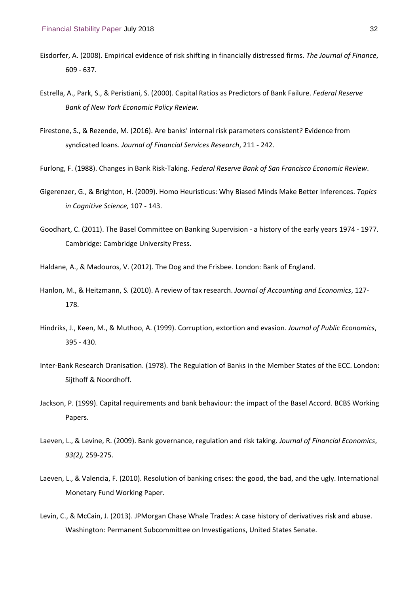- Eisdorfer, A. (2008). Empirical evidence of risk shifting in financially distressed firms. *The Journal of Finance*, 609 ‐ 637.
- Estrella, A., Park, S., & Peristiani, S. (2000). Capital Ratios as Predictors of Bank Failure. *Federal Reserve Bank of New York Economic Policy Review.*
- Firestone, S., & Rezende, M. (2016). Are banks' internal risk parameters consistent? Evidence from syndicated loans. *Journal of Financial Services Research*, 211 ‐ 242.
- Furlong, F. (1988). Changes in Bank Risk‐Taking. *Federal Reserve Bank of San Francisco Economic Review*.
- Gigerenzer, G., & Brighton, H. (2009). Homo Heuristicus: Why Biased Minds Make Better Inferences. *Topics in Cognitive Science,* 107 ‐ 143.
- Goodhart, C. (2011). The Basel Committee on Banking Supervision ‐ a history of the early years 1974 ‐ 1977. Cambridge: Cambridge University Press.
- Haldane, A., & Madouros, V. (2012). The Dog and the Frisbee. London: Bank of England.
- Hanlon, M., & Heitzmann, S. (2010). A review of tax research. *Journal of Accounting and Economics*, 127‐ 178.
- Hindriks, J., Keen, M., & Muthoo, A. (1999). Corruption, extortion and evasion*. Journal of Public Economics*, 395 ‐ 430.
- Inter‐Bank Research Oranisation. (1978). The Regulation of Banks in the Member States of the ECC. London: Sijthoff & Noordhoff.
- Jackson, P. (1999). Capital requirements and bank behaviour: the impact of the Basel Accord. BCBS Working Papers.
- Laeven, L., & Levine, R. (2009). Bank governance, regulation and risk taking. *Journal of Financial Economics*, *93(2),* 259‐275.
- Laeven, L., & Valencia, F. (2010). Resolution of banking crises: the good, the bad, and the ugly. International Monetary Fund Working Paper.
- Levin, C., & McCain, J. (2013). JPMorgan Chase Whale Trades: A case history of derivatives risk and abuse. Washington: Permanent Subcommittee on Investigations, United States Senate.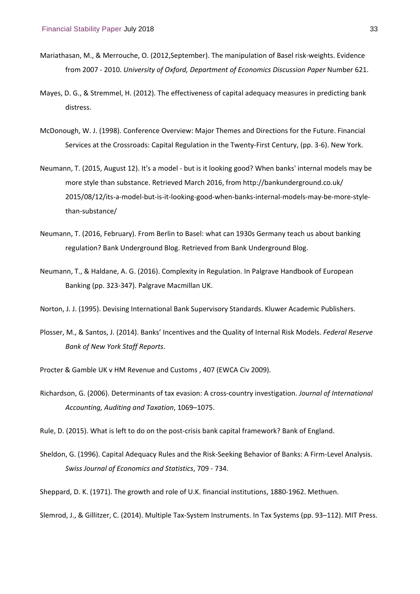- Mariathasan, M., & Merrouche, O. (2012,September). The manipulation of Basel risk‐weights. Evidence from 2007 ‐ 2010. *University of Oxford, Department of Economics Discussion Paper* Number 621.
- Mayes, D. G., & Stremmel, H. (2012). The effectiveness of capital adequacy measures in predicting bank distress.
- McDonough, W. J. (1998). Conference Overview: Major Themes and Directions for the Future. Financial Services at the Crossroads: Capital Regulation in the Twenty‐First Century, (pp. 3‐6). New York.
- Neumann, T. (2015, August 12). It's a model ‐ but is it looking good? When banks' internal models may be more style than substance. Retrieved March 2016, from http://bankunderground.co.uk/ 2015/08/12/its-a-model-but-is-it-looking-good-when-banks-internal-models-may-be-more-stylethan‐substance/
- Neumann, T. (2016, February). From Berlin to Basel: what can 1930s Germany teach us about banking regulation? Bank Underground Blog. Retrieved from Bank Underground Blog.
- Neumann, T., & Haldane, A. G. (2016). Complexity in Regulation. In Palgrave Handbook of European Banking (pp. 323‐347). Palgrave Macmillan UK.
- Norton, J. J. (1995). Devising International Bank Supervisory Standards. Kluwer Academic Publishers.
- Plosser, M., & Santos, J. (2014). Banks' Incentives and the Quality of Internal Risk Models. *Federal Reserve Bank of New York Staff Reports*.
- Procter & Gamble UK v HM Revenue and Customs , 407 (EWCA Civ 2009).
- Richardson, G. (2006). Determinants of tax evasion: A cross‐country investigation. *Journal of International Accounting, Auditing and Taxation*, 1069–1075.

Rule, D. (2015). What is left to do on the post-crisis bank capital framework? Bank of England.

- Sheldon, G. (1996). Capital Adequacy Rules and the Risk‐Seeking Behavior of Banks: A Firm‐Level Analysis. *Swiss Journal of Economics and Statistics*, 709 ‐ 734.
- Sheppard, D. K. (1971). The growth and role of U.K. financial institutions, 1880-1962. Methuen.

Slemrod, J., & Gillitzer, C. (2014). Multiple Tax‐System Instruments. In Tax Systems (pp. 93–112). MIT Press.